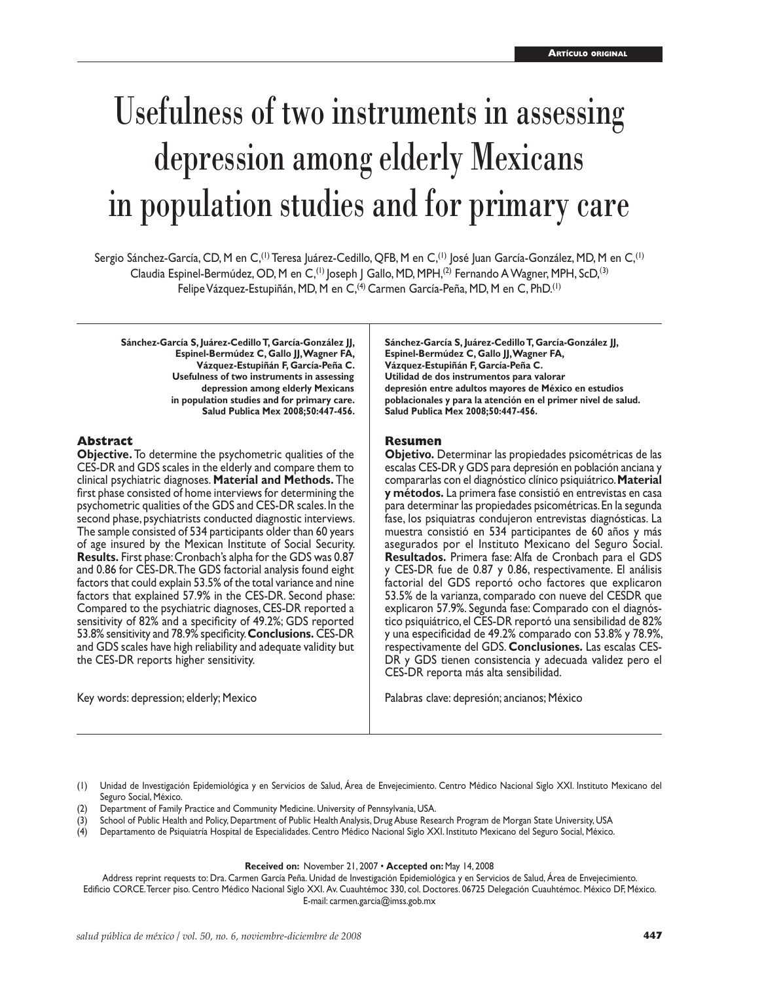# Usefulness of two instruments in assessing depression among elderly Mexicans in population studies and for primary care

Sergio Sánchez-García, CD, M en C,<sup>(1)</sup> Teresa Juárez-Cedillo, QFB, M en C,<sup>(1)</sup> José Juan García-González, MD, M en C,<sup>(1)</sup> Claudia Espinel-Bermúdez, OD, M en C, (1) Joseph J Gallo, MD, MPH, <sup>(2)</sup> Fernando A Wagner, MPH, ScD, <sup>(3)</sup> Felipe Vázquez-Estupiñán, MD, M en C, (4) Carmen García-Peña, MD, M en C, PhD.<sup>(1)</sup>

**Sánchez-García S, Juárez-Cedillo T, García-González JJ, Espinel-Bermúdez C, Gallo JJ, Wagner FA, Vázquez-Estupiñán F, García-Peña C. Usefulness of two instruments in assessing depression among elderly Mexicans in population studies and for primary care. Salud Publica Mex 2008;50:447-456.**

#### **Abstract**

**Objective.** To determine the psychometric qualities of the CES-DR and GDS scales in the elderly and compare them to clinical psychiatric diagnoses. **Material and Methods.** The first phase consisted of home interviews for determining the psychometric qualities of the GDS and CES-DR scales. In the second phase, psychiatrists conducted diagnostic interviews. The sample consisted of 534 participants older than 60 years of age insured by the Mexican Institute of Social Security. **Results.** First phase: Cronbach's alpha for the GDS was 0.87 and 0.86 for CES-DR. The GDS factorial analysis found eight factors that could explain 53.5% of the total variance and nine factors that explained 57.9% in the CES-DR. Second phase: Compared to the psychiatric diagnoses, CES-DR reported a sensitivity of 82% and a specificity of 49.2%; GDS reported 53.8% sensitivity and 78.9% specificity. **Conclusions.** CES-DR and GDS scales have high reliability and adequate validity but the CES-DR reports higher sensitivity.

Key words: depression; elderly; Mexico

**Sánchez-García S, Juárez-Cedillo T, García-González JJ, Espinel-Bermúdez C, Gallo JJ, Wagner FA, Vázquez-Estupiñán F, García-Peña C. Utilidad de dos instrumentos para valorar depresión entre adultos mayores de México en estudios poblacionales y para la atención en el primer nivel de salud. Salud Publica Mex 2008;50:447-456.**

#### **Resumen**

**Objetivo.** Determinar las propiedades psicométricas de las escalas CES-DR y GDS para depresión en población anciana y compararlas con el diagnóstico clínico psiquiátrico. **Material y métodos.** La primera fase consistió en entrevistas en casa para determinar las propiedades psicométricas. En la segunda fase, los psiquiatras condujeron entrevistas diagnósticas. La muestra consistió en 534 participantes de 60 años y más asegurados por el Instituto Mexicano del Seguro Social. **Resultados.** Primera fase: Alfa de Cronbach para el GDS y CES-DR fue de 0.87 y 0.86, respectivamente. El análisis factorial del GDS reportó ocho factores que explicaron 53.5% de la varianza, comparado con nueve del CESDR que explicaron 57.9%. Segunda fase: Comparado con el diagnóstico psiquiátrico, el CES-DR reportó una sensibilidad de 82% y una especificidad de 49.2% comparado con 53.8% y 78.9%, respectivamente del GDS. **Conclusiones.** Las escalas CES-DR y GDS tienen consistencia y adecuada validez pero el CES-DR reporta más alta sensibilidad.

Palabras clave: depresión; ancianos; México

(1) Unidad de Investigación Epidemiológica y en Servicios de Salud, Área de Envejecimiento. Centro Médico Nacional Siglo XXI. Instituto Mexicano del Seguro Social, México.

- (2) Department of Family Practice and Community Medicine. University of Pennsylvania, USA.
- (3) School of Public Health and Policy, Department of Public Health Analysis, Drug Abuse Research Program de Morgan State University, USA
- (4) Departamento de Psiquiatría Hospital de Especialidades. Centro Médico Nacional Siglo XXI. Instituto Mexicano del Seguro Social, México.

#### **Received on:** November 21, 2007 • **Accepted on:** May 14, 2008

Address reprint requests to: Dra. Carmen García Peña. Unidad de Investigación Epidemiológica y en Servicios de Salud, Área de Envejecimiento. Edificio CORCE. Tercer piso. Centro Médico Nacional Siglo XXI. Av. Cuauhtémoc 330, col. Doctores. 06725 Delegación Cuauhtémoc. México DF, México. E-mail: carmen.garcia@imss.gob.mx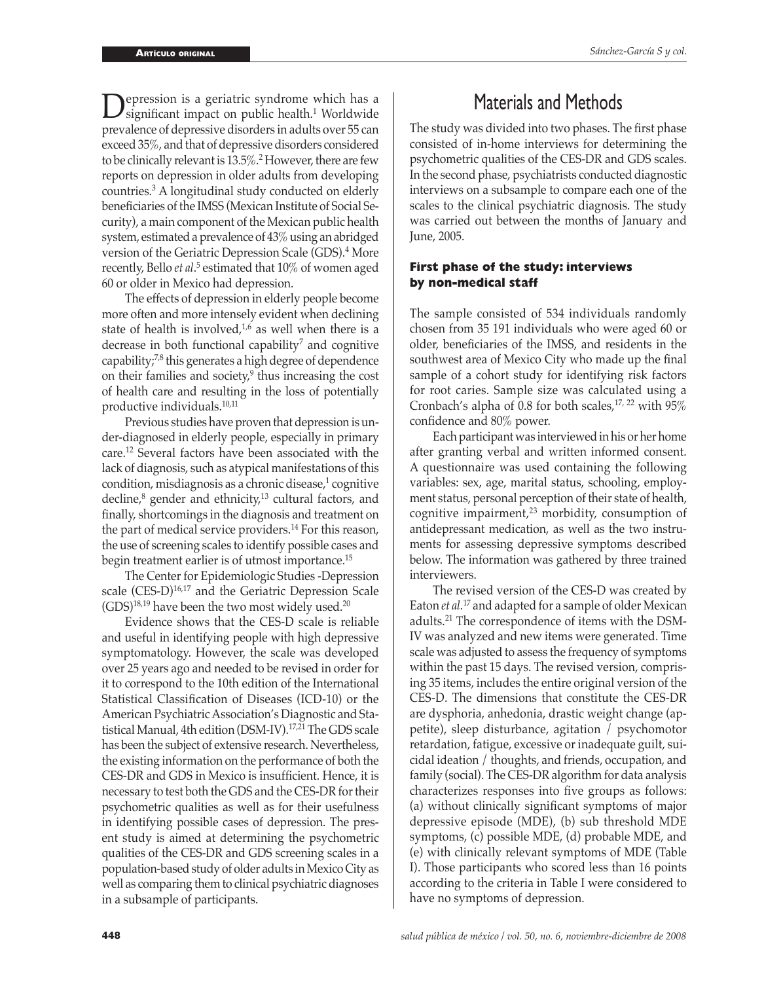**Depression is a geriatric syndrome which has a** significant impact on public health.<sup>1</sup> Worldwide prevalence of depressive disorders in adults over 55 can exceed 35%, and that of depressive disorders considered to be clinically relevant is 13.5%.<sup>2</sup> However, there are few reports on depression in older adults from developing countries.3 A longitudinal study conducted on elderly beneficiaries of the IMSS (Mexican Institute of Social Security), a main component of the Mexican public health system, estimated a prevalence of 43% using an abridged version of the Geriatric Depression Scale (GDS).4 More recently, Bello *et al.*<sup>5</sup> estimated that 10% of women aged 60 or older in Mexico had depression.

 The effects of depression in elderly people become more often and more intensely evident when declining state of health is involved, $1,6$  as well when there is a decrease in both functional capability $\theta$  and cognitive capability;7,8 this generates a high degree of dependence on their families and society,<sup>9</sup> thus increasing the cost of health care and resulting in the loss of potentially productive individuals.10,11

 Previous studies have proven that depression is under-diagnosed in elderly people, especially in primary care.12 Several factors have been associated with the lack of diagnosis, such as atypical manifestations of this condition, misdiagnosis as a chronic disease,<sup>1</sup> cognitive decline,<sup>8</sup> gender and ethnicity,13 cultural factors, and finally, shortcomings in the diagnosis and treatment on the part of medical service providers.14 For this reason, the use of screening scales to identify possible cases and begin treatment earlier is of utmost importance.15

 The Center for Epidemiologic Studies -Depression scale (CES-D)<sup>16,17</sup> and the Geriatric Depression Scale  $(GDS)^{18,19}$  have been the two most widely used.<sup>20</sup>

 Evidence shows that the CES-D scale is reliable and useful in identifying people with high depressive symptomatology. However, the scale was developed over 25 years ago and needed to be revised in order for it to correspond to the 10th edition of the International Statistical Classification of Diseases (ICD-10) or the American Psychiatric Association's Diagnostic and Statistical Manual, 4th edition (DSM-IV).17,21 The GDS scale has been the subject of extensive research. Nevertheless, the existing information on the performance of both the CES-DR and GDS in Mexico is insufficient. Hence, it is necessary to test both the GDS and the CES-DR for their psychometric qualities as well as for their usefulness in identifying possible cases of depression. The present study is aimed at determining the psychometric qualities of the CES-DR and GDS screening scales in a population-based study of older adults in Mexico City as well as comparing them to clinical psychiatric diagnoses in a subsample of participants.

# Materials and Methods

The study was divided into two phases. The first phase consisted of in-home interviews for determining the psychometric qualities of the CES-DR and GDS scales. In the second phase, psychiatrists conducted diagnostic interviews on a subsample to compare each one of the scales to the clinical psychiatric diagnosis. The study was carried out between the months of January and June, 2005.

#### **First phase of the study: interviews by non-medical staff**

The sample consisted of 534 individuals randomly chosen from 35 191 individuals who were aged 60 or older, beneficiaries of the IMSS, and residents in the southwest area of Mexico City who made up the final sample of a cohort study for identifying risk factors for root caries. Sample size was calculated using a Cronbach's alpha of 0.8 for both scales,17, 22 with 95% confidence and 80% power.

 Each participant was interviewed in his or her home after granting verbal and written informed consent. A questionnaire was used containing the following variables: sex, age, marital status, schooling, employment status, personal perception of their state of health, cognitive impairment, $23$  morbidity, consumption of antidepressant medication, as well as the two instruments for assessing depressive symptoms described below. The information was gathered by three trained interviewers.

 The revised version of the CES-D was created by Eaton *et al.* 17 and adapted for a sample of older Mexican adults.21 The correspondence of items with the DSM-IV was analyzed and new items were generated. Time scale was adjusted to assess the frequency of symptoms within the past 15 days. The revised version, comprising 35 items, includes the entire original version of the CES-D. The dimensions that constitute the CES-DR are dysphoria, anhedonia, drastic weight change (appetite), sleep disturbance, agitation / psychomotor retardation, fatigue, excessive or inadequate guilt, suicidal ideation / thoughts, and friends, occupation, and family (social). The CES-DR algorithm for data analysis characterizes responses into five groups as follows: (a) without clinically significant symptoms of major depressive episode (MDE), (b) sub threshold MDE symptoms, (c) possible MDE, (d) probable MDE, and (e) with clinically relevant symptoms of MDE (Table I). Those participants who scored less than 16 points according to the criteria in Table I were considered to have no symptoms of depression.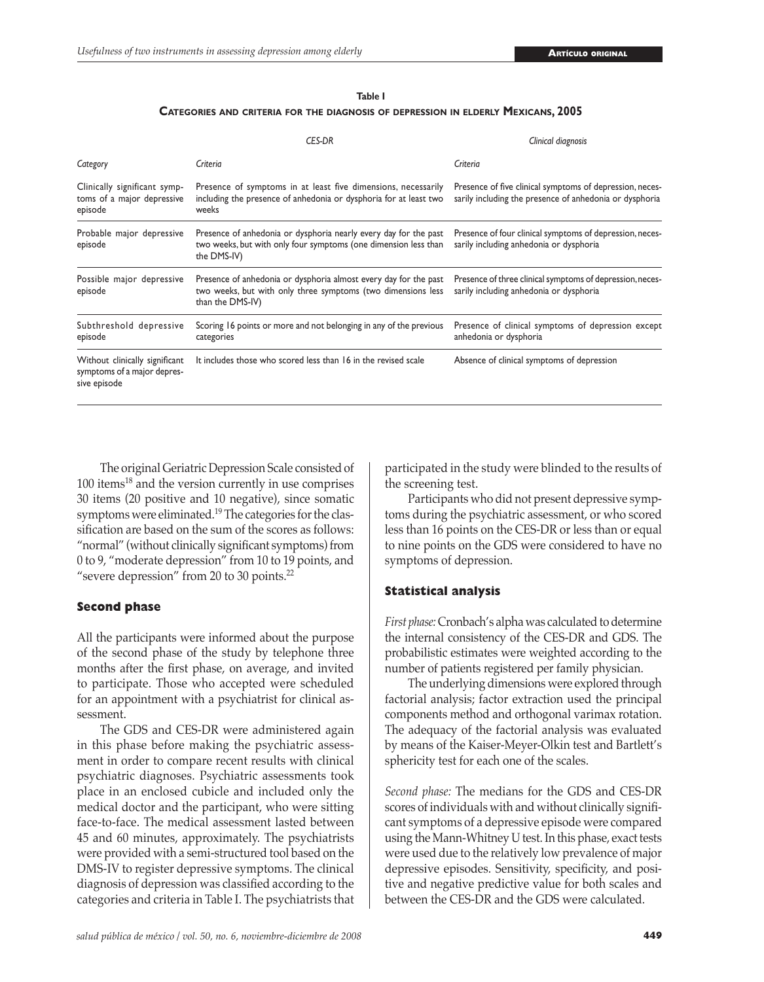#### **Table I**

**CATEGORIES AND CRITERIA FOR THE DIAGNOSIS OF DEPRESSION IN ELDERLY MEXICANS, 2005**

|                                                                               | <b>CES-DR</b>                                                                                                                                        | Clinical diagnosis                                                                                                  |  |  |  |
|-------------------------------------------------------------------------------|------------------------------------------------------------------------------------------------------------------------------------------------------|---------------------------------------------------------------------------------------------------------------------|--|--|--|
| Category                                                                      | Criteria                                                                                                                                             | Criteria                                                                                                            |  |  |  |
| Clinically significant symp-<br>toms of a major depressive<br>episode         | Presence of symptoms in at least five dimensions, necessarily<br>including the presence of anhedonia or dysphoria for at least two<br>weeks          | Presence of five clinical symptoms of depression, neces-<br>sarily including the presence of anhedonia or dysphoria |  |  |  |
| Probable major depressive<br>episode                                          | Presence of anhedonia or dysphoria nearly every day for the past<br>two weeks, but with only four symptoms (one dimension less than<br>the DMS-IV)   | Presence of four clinical symptoms of depression, neces-<br>sarily including anhedonia or dysphoria                 |  |  |  |
| Possible major depressive<br>episode                                          | Presence of anhedonia or dysphoria almost every day for the past<br>two weeks, but with only three symptoms (two dimensions less<br>than the DMS-IV) | Presence of three clinical symptoms of depression, neces-<br>sarily including anhedonia or dysphoria                |  |  |  |
| Subthreshold depressive<br>episode                                            | Scoring 16 points or more and not belonging in any of the previous<br>categories                                                                     | Presence of clinical symptoms of depression except<br>anhedonia or dysphoria                                        |  |  |  |
| Without clinically significant<br>symptoms of a major depres-<br>sive episode | It includes those who scored less than 16 in the revised scale                                                                                       | Absence of clinical symptoms of depression                                                                          |  |  |  |

 The original Geriatric Depression Scale consisted of 100 items18 and the version currently in use comprises 30 items (20 positive and 10 negative), since somatic symptoms were eliminated.<sup>19</sup> The categories for the classification are based on the sum of the scores as follows: "normal" (without clinically significant symptoms) from 0 to 9, "moderate depression" from 10 to 19 points, and "severe depression" from 20 to 30 points.<sup>22</sup>

#### **Second phase**

All the participants were informed about the purpose of the second phase of the study by telephone three months after the first phase, on average, and invited to participate. Those who accepted were scheduled for an appointment with a psychiatrist for clinical assessment.

 The GDS and CES-DR were administered again in this phase before making the psychiatric assessment in order to compare recent results with clinical psychiatric diagnoses. Psychiatric assessments took place in an enclosed cubicle and included only the medical doctor and the participant, who were sitting face-to-face. The medical assessment lasted between 45 and 60 minutes, approximately. The psychiatrists were provided with a semi-structured tool based on the DMS-IV to register depressive symptoms. The clinical diagnosis of depression was classified according to the categories and criteria in Table I. The psychiatrists that participated in the study were blinded to the results of the screening test.

 Participants who did not present depressive symptoms during the psychiatric assessment, or who scored less than 16 points on the CES-DR or less than or equal to nine points on the GDS were considered to have no symptoms of depression.

#### **Statistical analysis**

*First phase:* Cronbach's alpha was calculated to determine the internal consistency of the CES-DR and GDS. The probabilistic estimates were weighted according to the number of patients registered per family physician.

 The underlying dimensions were explored through factorial analysis; factor extraction used the principal components method and orthogonal varimax rotation. The adequacy of the factorial analysis was evaluated by means of the Kaiser-Meyer-Olkin test and Bartlett's sphericity test for each one of the scales.

*Second phase:* The medians for the GDS and CES-DR scores of individuals with and without clinically significant symptoms of a depressive episode were compared using the Mann-Whitney U test. In this phase, exact tests were used due to the relatively low prevalence of major depressive episodes. Sensitivity, specificity, and positive and negative predictive value for both scales and between the CES-DR and the GDS were calculated.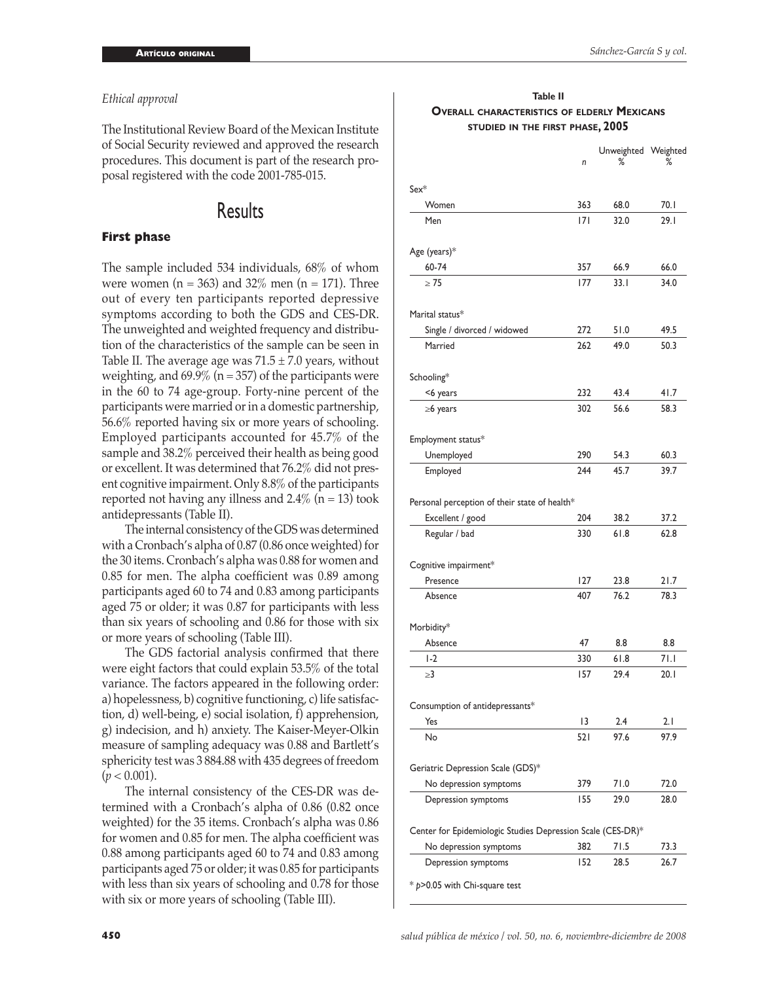#### *Ethical approval*

The Institutional Review Board of the Mexican Institute of Social Security reviewed and approved the research procedures. This document is part of the research proposal registered with the code 2001-785-015.

## Results

#### **First phase**

The sample included 534 individuals, 68% of whom were women ( $n = 363$ ) and 32% men ( $n = 171$ ). Three out of every ten participants reported depressive symptoms according to both the GDS and CES-DR. The unweighted and weighted frequency and distribution of the characteristics of the sample can be seen in Table II. The average age was  $71.5 \pm 7.0$  years, without weighting, and  $69.9\%$  (n = 357) of the participants were in the 60 to 74 age-group. Forty-nine percent of the participants were married or in a domestic partnership, 56.6% reported having six or more years of schooling. Employed participants accounted for 45.7% of the sample and 38.2% perceived their health as being good or excellent. It was determined that 76.2% did not present cognitive impairment. Only 8.8% of the participants reported not having any illness and  $2.4\%$  (n = 13) took antidepressants (Table II).

 The internal consistency of the GDS was determined with a Cronbach's alpha of 0.87 (0.86 once weighted) for the 30 items. Cronbach's alpha was 0.88 for women and 0.85 for men. The alpha coefficient was 0.89 among participants aged 60 to 74 and 0.83 among participants aged 75 or older; it was 0.87 for participants with less than six years of schooling and 0.86 for those with six or more years of schooling (Table III).

 The GDS factorial analysis confirmed that there were eight factors that could explain 53.5% of the total variance. The factors appeared in the following order: a) hopelessness, b) cognitive functioning, c) life satisfaction, d) well-being, e) social isolation, f) apprehension, g) indecision, and h) anxiety. The Kaiser-Meyer-Olkin measure of sampling adequacy was 0.88 and Bartlett's sphericity test was 3 884.88 with 435 degrees of freedom  $(p < 0.001)$ .

 The internal consistency of the CES-DR was determined with a Cronbach's alpha of 0.86 (0.82 once weighted) for the 35 items. Cronbach's alpha was 0.86 for women and 0.85 for men. The alpha coefficient was 0.88 among participants aged 60 to 74 and 0.83 among participants aged 75 or older; it was 0.85 for participants with less than six years of schooling and 0.78 for those with six or more years of schooling (Table III).

#### **Table II OVERALL CHARACTERISTICS OF ELDERLY MEXICANS STUDIED IN THE FIRST PHASE, 2005**

|                                                             | n   | Unweighted Weighted<br>℅ | ℅    |
|-------------------------------------------------------------|-----|--------------------------|------|
| $Sex^*$                                                     |     |                          |      |
| Women                                                       | 363 | 68.0                     | 70.I |
| Men                                                         | 7   | 32.0                     | 29.1 |
| Age (years)*                                                |     |                          |      |
| 60-74                                                       | 357 | 66.9                     | 66.0 |
| $\geq 75$                                                   | 177 | 33.1                     | 34.0 |
| Marital status*                                             |     |                          |      |
| Single / divorced / widowed                                 | 272 | 51.0                     | 49.5 |
| Married                                                     | 262 | 49.0                     | 50.3 |
| Schooling*                                                  |     |                          |      |
| <6 years                                                    | 232 | 43.4                     | 41.7 |
| $\geq 6$ years                                              | 302 | 56.6                     | 58.3 |
| Employment status*                                          |     |                          |      |
| Unemployed                                                  | 290 | 54.3                     | 60.3 |
| Employed                                                    | 244 | 45.7                     | 39.7 |
| Personal perception of their state of health*               |     |                          |      |
| Excellent / good                                            | 204 | 38.2                     | 37.2 |
| Regular / bad                                               | 330 | 61.8                     | 62.8 |
| Cognitive impairment*                                       |     |                          |      |
| Presence                                                    | 127 | 23.8                     | 21.7 |
| Absence                                                     | 407 | 76.2                     | 78.3 |
| Morbidity*                                                  |     |                          |      |
| Absence                                                     | 47  | 8.8                      | 8.8  |
| $1-2$                                                       | 330 | 61.8                     | 71.I |
| ≥3                                                          | 157 | 29.4                     | 20.1 |
| Consumption of antidepressants*                             |     |                          |      |
| Yes                                                         | 13  | 2.4                      | 2.1  |
| No                                                          | 521 | 97.6                     | 97.9 |
| Geriatric Depression Scale (GDS)*                           |     |                          |      |
| No depression symptoms                                      | 379 | 71.0                     | 72.0 |
| Depression symptoms                                         | 155 | 29.0                     | 28.0 |
| Center for Epidemiologic Studies Depression Scale (CES-DR)* |     |                          |      |
| No depression symptoms                                      | 382 | 71.5                     | 73.3 |
| Depression symptoms                                         | 152 | 28.5                     | 26.7 |
| $*$ p>0.05 with Chi-square test                             |     |                          |      |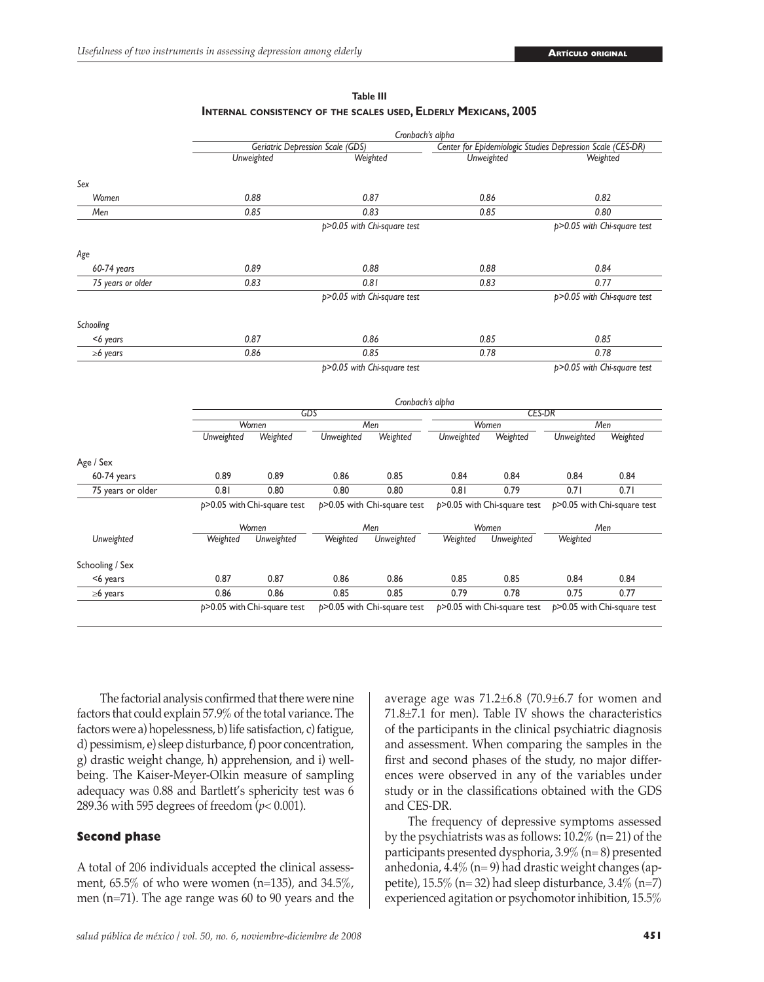|                   | Cronbach's alpha |                                         |                             |                                      |                                 |                                 |                                                            |                                 |  |  |  |  |  |
|-------------------|------------------|-----------------------------------------|-----------------------------|--------------------------------------|---------------------------------|---------------------------------|------------------------------------------------------------|---------------------------------|--|--|--|--|--|
|                   |                  | <b>Geriatric Depression Scale (GDS)</b> |                             |                                      |                                 |                                 | Center for Epidemiologic Studies Depression Scale (CES-DR) |                                 |  |  |  |  |  |
|                   |                  | Unweighted                              |                             | Weighted                             |                                 | Unweighted                      | Weighted                                                   |                                 |  |  |  |  |  |
| Sex               |                  |                                         |                             |                                      |                                 |                                 |                                                            |                                 |  |  |  |  |  |
| Women             |                  | 0.88                                    |                             | 0.87                                 |                                 | 0.86                            | 0.82                                                       |                                 |  |  |  |  |  |
| Men               |                  | 0.85                                    |                             | 0.83                                 |                                 | 0.85                            | 0.80                                                       |                                 |  |  |  |  |  |
|                   |                  |                                         |                             | p>0.05 with Chi-square test          |                                 |                                 |                                                            | p>0.05 with Chi-square test     |  |  |  |  |  |
| Age               |                  |                                         |                             |                                      |                                 |                                 |                                                            |                                 |  |  |  |  |  |
| 60-74 years       |                  | 0.89                                    |                             | 0.88                                 |                                 | 0.88                            | 0.84                                                       |                                 |  |  |  |  |  |
| 75 years or older |                  | 0.83                                    |                             | 0.81                                 |                                 | 0.83                            | 0.77                                                       |                                 |  |  |  |  |  |
|                   |                  |                                         |                             | p>0.05 with Chi-square test          |                                 |                                 |                                                            | p>0.05 with Chi-square test     |  |  |  |  |  |
| Schooling         |                  |                                         |                             |                                      |                                 |                                 |                                                            |                                 |  |  |  |  |  |
| <6 years          |                  | 0.87                                    |                             | 0.86                                 |                                 | 0.85                            | 0.85                                                       |                                 |  |  |  |  |  |
| $\geq 6$ years    | 0.86             |                                         |                             | 0.85                                 | 0.78                            |                                 | 0.78                                                       |                                 |  |  |  |  |  |
|                   |                  |                                         | p>0.05 with Chi-square test |                                      |                                 |                                 |                                                            | p>0.05 with Chi-square test     |  |  |  |  |  |
|                   |                  | Cronbach's alpha                        |                             |                                      |                                 |                                 |                                                            |                                 |  |  |  |  |  |
|                   |                  | GDS                                     |                             |                                      |                                 | <b>CES-DR</b>                   |                                                            |                                 |  |  |  |  |  |
|                   | Unweighted       | Women<br>Weighted                       |                             | Men<br>Weighted                      | Women<br>Weighted<br>Unweighted |                                 | Men<br>Unweighted<br>Weighted                              |                                 |  |  |  |  |  |
|                   |                  |                                         | Unweighted                  |                                      |                                 |                                 |                                                            |                                 |  |  |  |  |  |
| Age / Sex         |                  |                                         |                             |                                      |                                 |                                 |                                                            |                                 |  |  |  |  |  |
| 60-74 years       | 0.89             | 0.89                                    | 0.86                        | 0.85                                 | 0.84                            | 0.84                            | 0.84                                                       | 0.84                            |  |  |  |  |  |
| 75 years or older | 0.81             | 0.80                                    | 0.80                        | 0.80                                 | 0.81                            | 0.79                            | 0.71                                                       | 0.71                            |  |  |  |  |  |
|                   |                  | $p > 0.05$ with Chi-square test         |                             | $p > 0.05$ with Chi-square test      |                                 | $p > 0.05$ with Chi-square test |                                                            | $p > 0.05$ with Chi-square test |  |  |  |  |  |
|                   | Women            |                                         | Men                         |                                      | Women                           |                                 | Men                                                        |                                 |  |  |  |  |  |
| Unweighted        | Weighted         | Unweighted                              | Weighted                    | Unweighted<br>Unweighted<br>Weighted |                                 |                                 | Weighted                                                   |                                 |  |  |  |  |  |
| Schooling / Sex   |                  |                                         |                             |                                      |                                 |                                 |                                                            |                                 |  |  |  |  |  |
| <6 years          | 0.87             | 0.87                                    | 0.86                        | 0.86                                 | 0.85                            | 0.85                            | 0.84                                                       | 0.84                            |  |  |  |  |  |
| $\geq 6$ years    | 0.86             | 0.86                                    | 0.85                        | 0.85                                 | 0.79                            | 0.78                            | 0.75                                                       | 0.77                            |  |  |  |  |  |
|                   |                  | $p > 0.05$ with Chi-square test         |                             | $p > 0.05$ with Chi-square test      |                                 | $p > 0.05$ with Chi-square test |                                                            | $p > 0.05$ with Chi-square test |  |  |  |  |  |

**Table III INTERNAL CONSISTENCY OF THE SCALES USED, ELDERLY MEXICANS, 2005**

 The factorial analysis confirmed that there were nine factors that could explain 57.9% of the total variance. The factors were a) hopelessness, b) life satisfaction, c) fatigue, d) pessimism, e) sleep disturbance, f) poor concentration, g) drastic weight change, h) apprehension, and i) wellbeing. The Kaiser-Meyer-Olkin measure of sampling adequacy was 0.88 and Bartlett's sphericity test was 6 289.36 with 595 degrees of freedom (*p*< 0.001).

#### **Second phase**

A total of 206 individuals accepted the clinical assessment, 65.5% of who were women (n=135), and 34.5%, men (n=71). The age range was 60 to 90 years and the average age was 71.2±6.8 (70.9±6.7 for women and 71.8±7.1 for men). Table IV shows the characteristics of the participants in the clinical psychiatric diagnosis and assessment. When comparing the samples in the first and second phases of the study, no major differences were observed in any of the variables under study or in the classifications obtained with the GDS and CES-DR.

 The frequency of depressive symptoms assessed by the psychiatrists was as follows: 10.2% (n= 21) of the participants presented dysphoria, 3.9% (n= 8) presented anhedonia, 4.4% (n= 9) had drastic weight changes (appetite),  $15.5\%$  (n= 32) had sleep disturbance,  $3.4\%$  (n=7) experienced agitation or psychomotor inhibition, 15.5%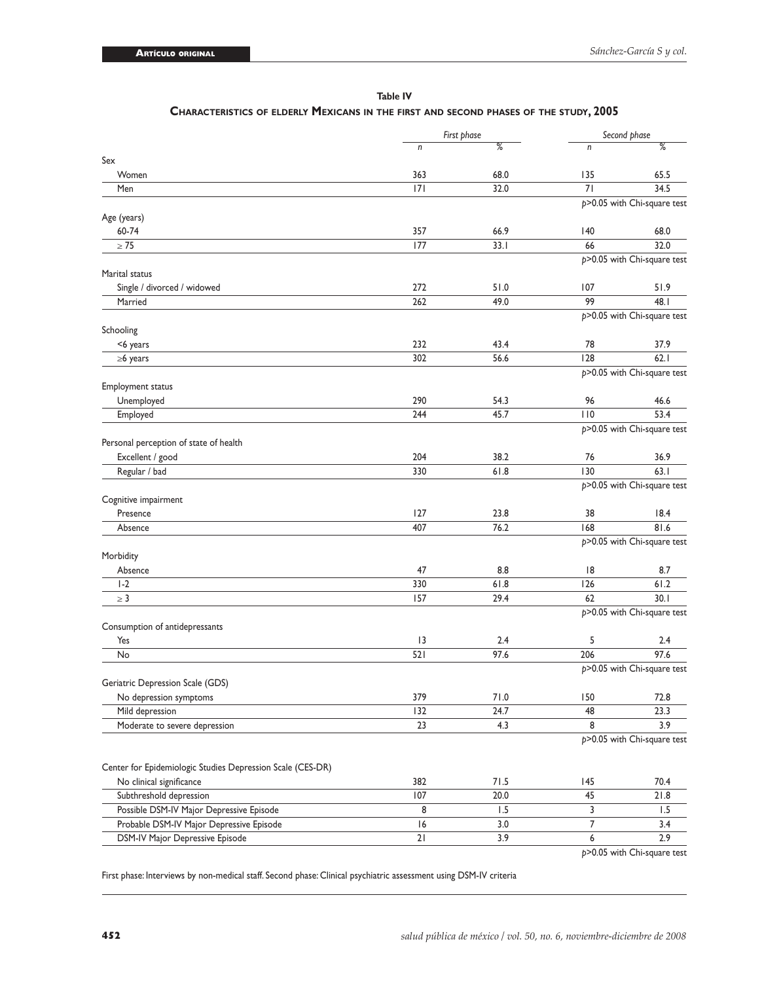|                                                            |     | First phase | Second phase |                                     |  |  |
|------------------------------------------------------------|-----|-------------|--------------|-------------------------------------|--|--|
|                                                            | n   | %           | n            | %                                   |  |  |
| Sex                                                        |     |             |              |                                     |  |  |
| Women                                                      | 363 | 68.0        | 135          | 65.5                                |  |  |
| Men                                                        | 7   | 32.0        | 71           | 34.5                                |  |  |
|                                                            |     |             |              | $p > 0.05$ with Chi-square test     |  |  |
| Age (years)                                                |     |             |              |                                     |  |  |
| 60-74<br>$\geq 75$                                         | 357 | 66.9        | 140          | 68.0                                |  |  |
|                                                            | 177 | 33.1        | 66           | 32.0<br>p>0.05 with Chi-square test |  |  |
| Marital status                                             |     |             |              |                                     |  |  |
| Single / divorced / widowed                                | 272 | 51.0        | 107          | 51.9                                |  |  |
| Married                                                    | 262 | 49.0        | 99           | 48.I                                |  |  |
|                                                            |     |             |              | $p > 0.05$ with Chi-square test     |  |  |
| Schooling                                                  |     |             |              |                                     |  |  |
| <6 years                                                   | 232 | 43.4        | 78           | 37.9                                |  |  |
| $\geq 6$ years                                             | 302 | 56.6        | 128          | 62.1                                |  |  |
|                                                            |     |             |              | $p > 0.05$ with Chi-square test     |  |  |
| Employment status                                          |     |             |              |                                     |  |  |
| Unemployed                                                 | 290 | 54.3        | 96           | 46.6                                |  |  |
| Employed                                                   | 244 | 45.7        | 110          | 53.4                                |  |  |
|                                                            |     |             |              | p>0.05 with Chi-square test         |  |  |
| Personal perception of state of health                     |     |             |              |                                     |  |  |
| Excellent / good                                           | 204 | 38.2        | 76           | 36.9                                |  |  |
| Regular / bad                                              | 330 | 61.8        | 130          | 63.1                                |  |  |
|                                                            |     |             |              | p>0.05 with Chi-square test         |  |  |
| Cognitive impairment                                       |     |             |              |                                     |  |  |
| Presence                                                   | 127 | 23.8        | 38           | 18.4                                |  |  |
| Absence                                                    | 407 | 76.2        | 168          | 81.6                                |  |  |
|                                                            |     |             |              | $p > 0.05$ with Chi-square test     |  |  |
| Morbidity                                                  |     |             |              |                                     |  |  |
| Absence                                                    | 47  | 8.8         | 8            | 8.7                                 |  |  |
| $1-2$                                                      | 330 | 61.8        | 126          | 61.2                                |  |  |
| $\geq 3$                                                   | 157 | 29.4        | 62           | 30.1                                |  |  |
|                                                            |     |             |              | p>0.05 with Chi-square test         |  |  |
| Consumption of antidepressants                             |     |             |              |                                     |  |  |
| Yes                                                        | 3   | 2.4         | 5            | 2.4                                 |  |  |
| No                                                         | 521 | 97.6        | 206          | 97.6                                |  |  |
|                                                            |     |             |              | p>0.05 with Chi-square test         |  |  |
| Geriatric Depression Scale (GDS)                           |     |             |              |                                     |  |  |
| No depression symptoms                                     | 379 | 71.0        | 150          | 72.8                                |  |  |
| Mild depression                                            | 132 | 24.7        | 48           | 23.3                                |  |  |
| Moderate to severe depression                              | 23  | 4.3         | 8            | 3.9                                 |  |  |
|                                                            |     |             |              | p>0.05 with Chi-square test         |  |  |
|                                                            |     |             |              |                                     |  |  |
| Center for Epidemiologic Studies Depression Scale (CES-DR) |     |             |              |                                     |  |  |
| No clinical significance                                   | 382 | 71.5        | 145          | 70.4                                |  |  |
| Subthreshold depression                                    | 107 | 20.0        | 45           | 21.8                                |  |  |
| Possible DSM-IV Major Depressive Episode                   | 8   | 1.5         | 3            | 1.5                                 |  |  |
| Probable DSM-IV Major Depressive Episode                   | 6   | 3.0         | 7            | 3.4                                 |  |  |
| DSM-IV Major Depressive Episode                            | 21  | 3.9         | 6            | 2.9                                 |  |  |

**Table IV**

#### **CHARACTERISTICS OF ELDERLY MEXICANS IN THE FIRST AND SECOND PHASES OF THE STUDY, 2005**

*p*>0.05 with Chi-square test

First phase: Interviews by non-medical staff. Second phase: Clinical psychiatric assessment using DSM-IV criteria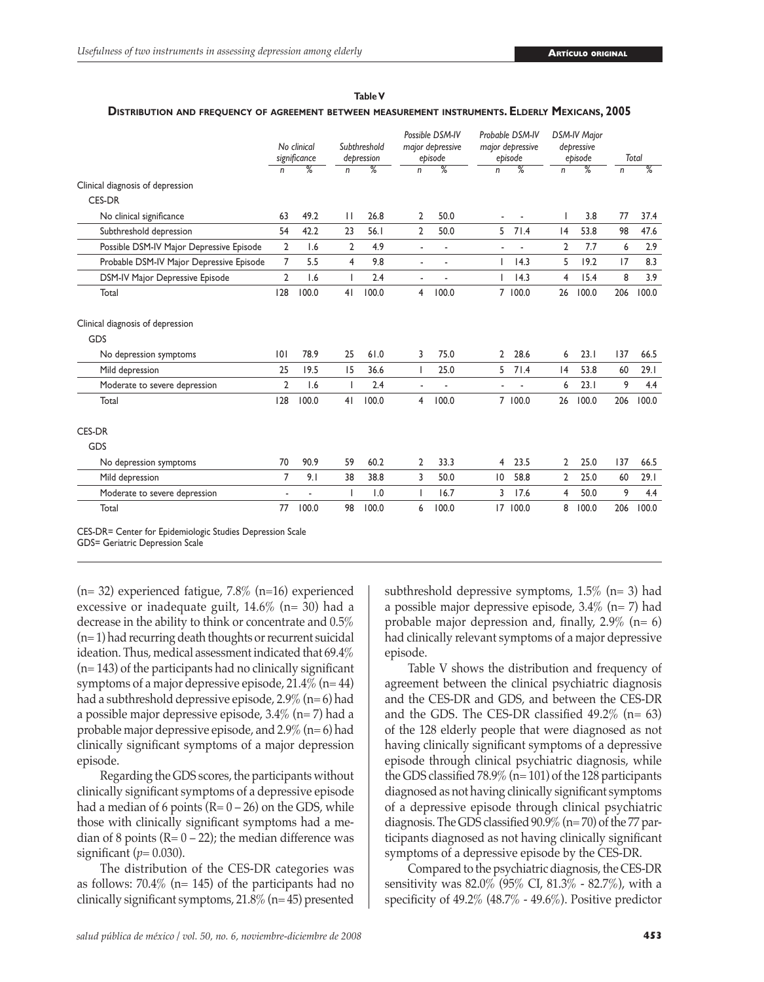|                                          | No clinical<br>significance |                          | Subthreshold<br>depression |                 | Possible DSM-IV<br>major depressive<br>episode |                 | Probable DSM-IV<br>major depressive<br>episode |               | <b>DSM-IV Major</b><br>depressive<br>episode |                 | Total        |                 |
|------------------------------------------|-----------------------------|--------------------------|----------------------------|-----------------|------------------------------------------------|-----------------|------------------------------------------------|---------------|----------------------------------------------|-----------------|--------------|-----------------|
|                                          | n                           | $\overline{\%}$          | n                          | $\overline{\%}$ | $\mathsf{n}$                                   | $\overline{\%}$ | n                                              | $\frac{9}{6}$ | n                                            | $\overline{\%}$ | $\mathsf{n}$ | $\overline{\%}$ |
| Clinical diagnosis of depression         |                             |                          |                            |                 |                                                |                 |                                                |               |                                              |                 |              |                 |
| <b>CES-DR</b>                            |                             |                          |                            |                 |                                                |                 |                                                |               |                                              |                 |              |                 |
| No clinical significance                 | 63                          | 49.2                     | $\mathbf{H}$               | 26.8            | 2                                              | 50.0            |                                                |               |                                              | 3.8             | 77           | 37.4            |
| Subthreshold depression                  | 54                          | 42.2                     | 23                         | 56.1            | 2                                              | 50.0            | 5                                              | 71.4          | 4                                            | 53.8            | 98           | 47.6            |
| Possible DSM-IV Major Depressive Episode | $\overline{2}$              | 1.6                      | $\overline{2}$             | 4.9             | $\overline{a}$                                 | ä,              |                                                |               | $\overline{2}$                               | 7.7             | 6            | 2.9             |
| Probable DSM-IV Major Depressive Episode | $\overline{7}$              | 5.5                      | 4                          | 9.8             | $\blacksquare$                                 | ٠               |                                                | 4.3           | 5                                            | 19.2            | 17           | 8.3             |
| DSM-IV Major Depressive Episode          | $\overline{2}$              | 1.6                      | $\mathsf{I}$               | 2.4             | $\blacksquare$                                 |                 | ı                                              | 14.3          | 4                                            | 15.4            | 8            | 3.9             |
| Total                                    | 128                         | 100.0                    | 4 <sub>1</sub>             | 100.0           | 4                                              | 100.0           |                                                | 7 100.0       | 26                                           | 100.0           | 206          | 100.0           |
| Clinical diagnosis of depression         |                             |                          |                            |                 |                                                |                 |                                                |               |                                              |                 |              |                 |
| GDS                                      |                             |                          |                            |                 |                                                |                 |                                                |               |                                              |                 |              |                 |
| No depression symptoms                   | 0                           | 78.9                     | 25                         | 61.0            | 3                                              | 75.0            | $\overline{2}$                                 | 28.6          | 6                                            | 23.1            | 137          | 66.5            |
| Mild depression                          | 25                          | 19.5                     | 15                         | 36.6            |                                                | 25.0            | 5                                              | 71.4          | 4                                            | 53.8            | 60           | 29.1            |
| Moderate to severe depression            | $\overline{2}$              | 1.6                      |                            | 2.4             |                                                |                 |                                                |               | 6                                            | 23.1            | 9            | 4.4             |
| Total                                    | 128                         | 100.0                    | 41                         | 100.0           | 4                                              | 100.0           |                                                | 7 100.0       | 26                                           | 100.0           | 206          | 100.0           |
| CES-DR                                   |                             |                          |                            |                 |                                                |                 |                                                |               |                                              |                 |              |                 |
| GDS                                      |                             |                          |                            |                 |                                                |                 |                                                |               |                                              |                 |              |                 |
| No depression symptoms                   | 70                          | 90.9                     | 59                         | 60.2            | 2                                              | 33.3            | 4                                              | 23.5          | $\overline{2}$                               | 25.0            | 137          | 66.5            |
| Mild depression                          | 7                           | 9.1                      | 38                         | 38.8            | 3                                              | 50.0            | $\overline{0}$                                 | 58.8          | 2                                            | 25.0            | 60           | 29.1            |
| Moderate to severe depression            | $\overline{\phantom{a}}$    | $\overline{\phantom{a}}$ | ı                          | 1.0             | L                                              | 16.7            | 3                                              | 17.6          | 4                                            | 50.0            | 9            | 4.4             |
| Total                                    |                             | 100.0                    | 98                         | 100.0           | 6                                              | 100.0           | 17                                             | 100.0         | 8                                            | 100.0           | 206          | 100.0           |

#### **Table V**

#### **DISTRIBUTION AND FREQUENCY OF AGREEMENT BETWEEN MEASUREMENT INSTRUMENTS. ELDERLY MEXICANS, 2005**

CES-DR= Center for Epidemiologic Studies Depression Scale

GDS= Geriatric Depression Scale

(n= 32) experienced fatigue, 7.8% (n=16) experienced excessive or inadequate guilt,  $14.6\%$  (n= 30) had a decrease in the ability to think or concentrate and 0.5% (n= 1) had recurring death thoughts or recurrent suicidal ideation. Thus, medical assessment indicated that 69.4% (n= 143) of the participants had no clinically significant symptoms of a major depressive episode,  $21.4\%$  (n= 44) had a subthreshold depressive episode, 2.9% (n= 6) had a possible major depressive episode, 3.4% (n= 7) had a probable major depressive episode, and 2.9% (n= 6) had clinically significant symptoms of a major depression episode.

 Regarding the GDS scores, the participants without clinically significant symptoms of a depressive episode had a median of 6 points  $(R = 0 - 26)$  on the GDS, while those with clinically significant symptoms had a median of 8 points ( $R = 0 - 22$ ); the median difference was significant  $(p=0.030)$ .

 The distribution of the CES-DR categories was as follows:  $70.4\%$  (n= 145) of the participants had no clinically significant symptoms,  $21.8\%$  (n= 45) presented subthreshold depressive symptoms,  $1.5\%$  (n= 3) had a possible major depressive episode, 3.4% (n= 7) had probable major depression and, finally,  $2.9\%$  (n= 6) had clinically relevant symptoms of a major depressive episode.

 Table V shows the distribution and frequency of agreement between the clinical psychiatric diagnosis and the CES-DR and GDS, and between the CES-DR and the GDS. The CES-DR classified  $49.2\%$  (n= 63) of the 128 elderly people that were diagnosed as not having clinically significant symptoms of a depressive episode through clinical psychiatric diagnosis, while the GDS classified 78.9% (n= 101) of the 128 participants diagnosed as not having clinically significant symptoms of a depressive episode through clinical psychiatric diagnosis. The GDS classified 90.9% (n= 70) of the 77 participants diagnosed as not having clinically significant symptoms of a depressive episode by the CES-DR.

 Compared to the psychiatric diagnosis, the CES-DR sensitivity was 82.0% (95% CI, 81.3% - 82.7%), with a specificity of 49.2% (48.7% - 49.6%). Positive predictor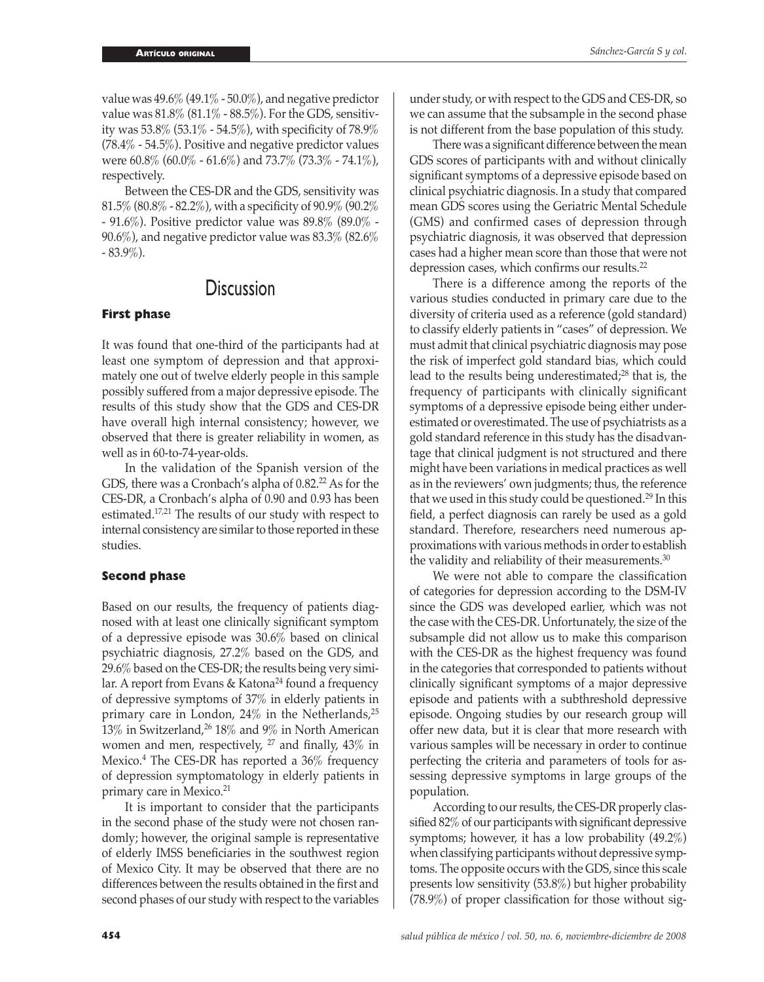value was  $49.6\%$  (49.1% - 50.0%), and negative predictor value was  $81.8\%$  ( $81.1\%$  -  $88.5\%$ ). For the GDS, sensitivity was 53.8% (53.1% - 54.5%), with specificity of 78.9% (78.4% - 54.5%). Positive and negative predictor values were 60.8% (60.0% - 61.6%) and 73.7% (73.3% - 74.1%), respectively.

 Between the CES-DR and the GDS, sensitivity was 81.5% (80.8% - 82.2%), with a specificity of 90.9% (90.2% - 91.6%). Positive predictor value was 89.8% (89.0% -  $90.6\%$ ), and negative predictor value was  $83.3\%$   $(82.6\%$ - 83.9%).

## **Discussion**

#### **First phase**

It was found that one-third of the participants had at least one symptom of depression and that approximately one out of twelve elderly people in this sample possibly suffered from a major depressive episode. The results of this study show that the GDS and CES-DR have overall high internal consistency; however, we observed that there is greater reliability in women, as well as in 60-to-74-year-olds.

 In the validation of the Spanish version of the GDS, there was a Cronbach's alpha of 0.82.<sup>22</sup> As for the CES-DR, a Cronbach's alpha of 0.90 and 0.93 has been estimated.17,21 The results of our study with respect to internal consistency are similar to those reported in these studies.

#### **Second phase**

Based on our results, the frequency of patients diagnosed with at least one clinically significant symptom of a depressive episode was 30.6% based on clinical psychiatric diagnosis, 27.2% based on the GDS, and 29.6% based on the CES-DR; the results being very similar. A report from Evans & Katona<sup>24</sup> found a frequency of depressive symptoms of 37% in elderly patients in primary care in London,  $24\%$  in the Netherlands,  $25$ 13% in Switzerland,<sup>26</sup> 18% and 9% in North American women and men, respectively,  $27$  and finally,  $43\%$  in Mexico.<sup>4</sup> The CES-DR has reported a 36% frequency of depression symptomatology in elderly patients in primary care in Mexico.<sup>21</sup>

 It is important to consider that the participants in the second phase of the study were not chosen randomly; however, the original sample is representative of elderly IMSS beneficiaries in the southwest region of Mexico City. It may be observed that there are no differences between the results obtained in the first and second phases of our study with respect to the variables under study, or with respect to the GDS and CES-DR, so we can assume that the subsample in the second phase is not different from the base population of this study.

 There was a significant difference between the mean GDS scores of participants with and without clinically significant symptoms of a depressive episode based on clinical psychiatric diagnosis. In a study that compared mean GDS scores using the Geriatric Mental Schedule (GMS) and confirmed cases of depression through psychiatric diagnosis, it was observed that depression cases had a higher mean score than those that were not depression cases, which confirms our results.<sup>22</sup>

 There is a difference among the reports of the various studies conducted in primary care due to the diversity of criteria used as a reference (gold standard) to classify elderly patients in "cases" of depression. We must admit that clinical psychiatric diagnosis may pose the risk of imperfect gold standard bias, which could lead to the results being underestimated; $28$  that is, the frequency of participants with clinically significant symptoms of a depressive episode being either underestimated or overestimated. The use of psychiatrists as a gold standard reference in this study has the disadvantage that clinical judgment is not structured and there might have been variations in medical practices as well as in the reviewers' own judgments; thus, the reference that we used in this study could be questioned.29 In this field, a perfect diagnosis can rarely be used as a gold standard. Therefore, researchers need numerous approximations with various methods in order to establish the validity and reliability of their measurements.<sup>30</sup>

 We were not able to compare the classification of categories for depression according to the DSM-IV since the GDS was developed earlier, which was not the case with the CES-DR. Unfortunately, the size of the subsample did not allow us to make this comparison with the CES-DR as the highest frequency was found in the categories that corresponded to patients without clinically significant symptoms of a major depressive episode and patients with a subthreshold depressive episode. Ongoing studies by our research group will offer new data, but it is clear that more research with various samples will be necessary in order to continue perfecting the criteria and parameters of tools for assessing depressive symptoms in large groups of the population.

 According to our results, the CES-DR properly classified 82% of our participants with significant depressive symptoms; however, it has a low probability (49.2%) when classifying participants without depressive symptoms. The opposite occurs with the GDS, since this scale presents low sensitivity (53.8%) but higher probability (78.9%) of proper classification for those without sig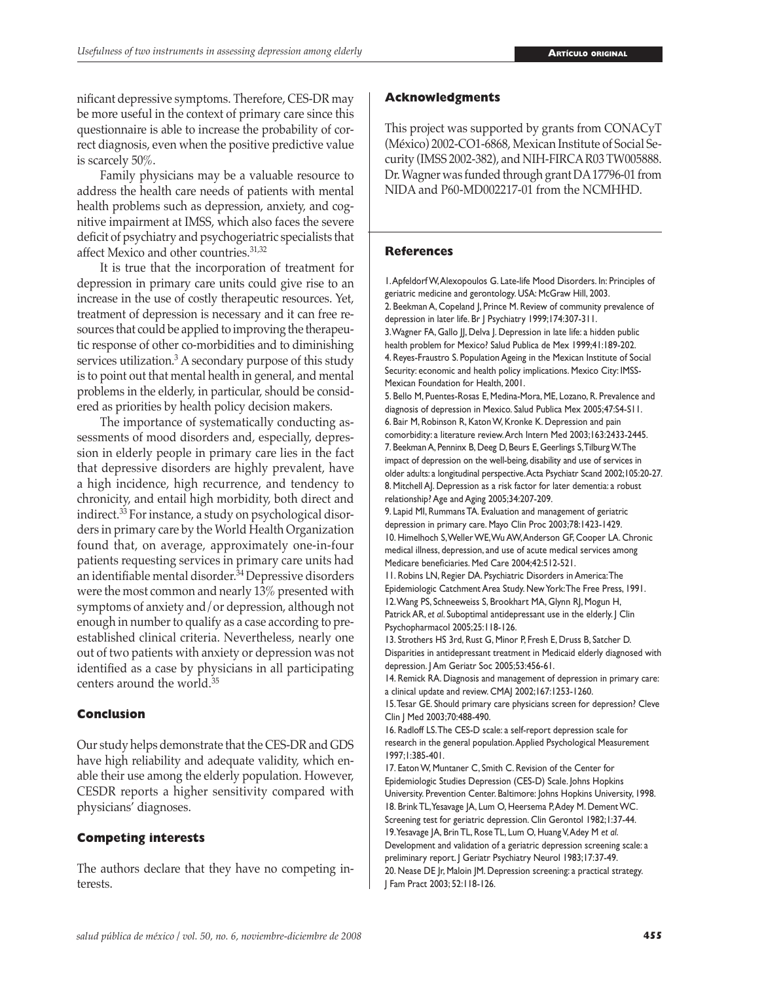nificant depressive symptoms. Therefore, CES-DR may be more useful in the context of primary care since this questionnaire is able to increase the probability of correct diagnosis, even when the positive predictive value is scarcely 50%.

 Family physicians may be a valuable resource to address the health care needs of patients with mental health problems such as depression, anxiety, and cognitive impairment at IMSS, which also faces the severe deficit of psychiatry and psychogeriatric specialists that affect Mexico and other countries.31,32

 It is true that the incorporation of treatment for depression in primary care units could give rise to an increase in the use of costly therapeutic resources. Yet, treatment of depression is necessary and it can free resources that could be applied to improving the therapeutic response of other co-morbidities and to diminishing services utilization.<sup>3</sup> A secondary purpose of this study is to point out that mental health in general, and mental problems in the elderly, in particular, should be considered as priorities by health policy decision makers.

 The importance of systematically conducting assessments of mood disorders and, especially, depression in elderly people in primary care lies in the fact that depressive disorders are highly prevalent, have a high incidence, high recurrence, and tendency to chronicity, and entail high morbidity, both direct and indirect.33 For instance, a study on psychological disorders in primary care by the World Health Organization found that, on average, approximately one-in-four patients requesting services in primary care units had an identifiable mental disorder.34 Depressive disorders were the most common and nearly 13% presented with symptoms of anxiety and/or depression, although not enough in number to qualify as a case according to preestablished clinical criteria. Nevertheless, nearly one out of two patients with anxiety or depression was not identified as a case by physicians in all participating centers around the world.<sup>35</sup>

#### **Conclusion**

Our study helps demonstrate that the CES-DR and GDS have high reliability and adequate validity, which enable their use among the elderly population. However, CESDR reports a higher sensitivity compared with physicians' diagnoses.

#### **Competing interests**

The authors declare that they have no competing interests.

#### **Acknowledgments**

This project was supported by grants from CONACyT (México) 2002-CO1-6868, Mexican Institute of Social Security (IMSS 2002-382), and NIH-FIRCA R03 TW005888. Dr. Wagner was funded through grant DA 17796-01 from NIDA and P60-MD002217-01 from the NCMHHD.

#### **References**

1. Apfeldorf W, Alexopoulos G. Late-life Mood Disorders. In: Principles of geriatric medicine and gerontology. USA: McGraw Hill, 2003. 2. Beekman A, Copeland J, Prince M. Review of community prevalence of depression in later life. Br J Psychiatry 1999;174:307-311. 3. Wagner FA, Gallo JJ, Delva J. Depression in late life: a hidden public health problem for Mexico? Salud Publica de Mex 1999;41:189-202. 4. Reyes-Fraustro S. Population Ageing in the Mexican Institute of Social Security: economic and health policy implications. Mexico City: IMSS-Mexican Foundation for Health, 2001.

5. Bello M, Puentes-Rosas E, Medina-Mora, ME, Lozano, R. Prevalence and diagnosis of depression in Mexico. Salud Publica Mex 2005;47:S4-S11. 6. Bair M, Robinson R, Katon W, Kronke K. Depression and pain comorbidity: a literature review. Arch Intern Med 2003;163:2433-2445. 7. Beekman A, Penninx B, Deeg D, Beurs E, Geerlings S, Tilburg W. The impact of depression on the well-being, disability and use of services in older adults: a longitudinal perspective. Acta Psychiatr Scand 2002;105:20-27*.*  8. Mitchell AJ. Depression as a risk factor for later dementia: a robust relationship? Age and Aging 2005;34:207-209.

9. Lapid MI, Rummans TA. Evaluation and management of geriatric depression in primary care. Mayo Clin Proc 2003;78:1423-1429. 10. Himelhoch S, Weller WE, Wu AW, Anderson GF, Cooper LA. Chronic medical illness, depression, and use of acute medical services among Medicare beneficiaries. Med Care 2004;42:512-521.

11. Robins LN, Regier DA. Psychiatric Disorders in America: The Epidemiologic Catchment Area Study. New York: The Free Press, 1991. 12. Wang PS, Schneeweiss S, Brookhart MA, Glynn RJ, Mogun H, Patrick AR, *et al.* Suboptimal antidepressant use in the elderly. J Clin Psychopharmacol 2005;25:118-126.

13. Strothers HS 3rd, Rust G, Minor P, Fresh E, Druss B, Satcher D. Disparities in antidepressant treatment in Medicaid elderly diagnosed with depression. J Am Geriatr Soc 2005;53:456-61.

14. Remick RA. Diagnosis and management of depression in primary care: a clinical update and review. CMAJ 2002;167:1253-1260.

15. Tesar GE. Should primary care physicians screen for depression? Cleve Clin J Med 2003;70:488-490.

16. Radloff LS. The CES-D scale: a self-report depression scale for research in the general population. Applied Psychological Measurement 1997;1:385-401.

17. Eaton W, Muntaner C, Smith C. Revision of the Center for Epidemiologic Studies Depression (CES-D) Scale. Johns Hopkins University. Prevention Center. Baltimore: Johns Hopkins University, 1998. 18. Brink TL, Yesavage JA, Lum O, Heersema P, Adey M. Dement WC. Screening test for geriatric depression. Clin Gerontol 1982;1:37-44. 19. Yesavage JA, Brin TL, Rose TL, Lum O, Huang V, Adey M *et al*. Development and validation of a geriatric depression screening scale: a preliminary report. J Geriatr Psychiatry Neurol 1983;17:37-49. 20. Nease DE Jr, Maloin JM. Depression screening: a practical strategy. J Fam Pract 2003; 52:118-126.